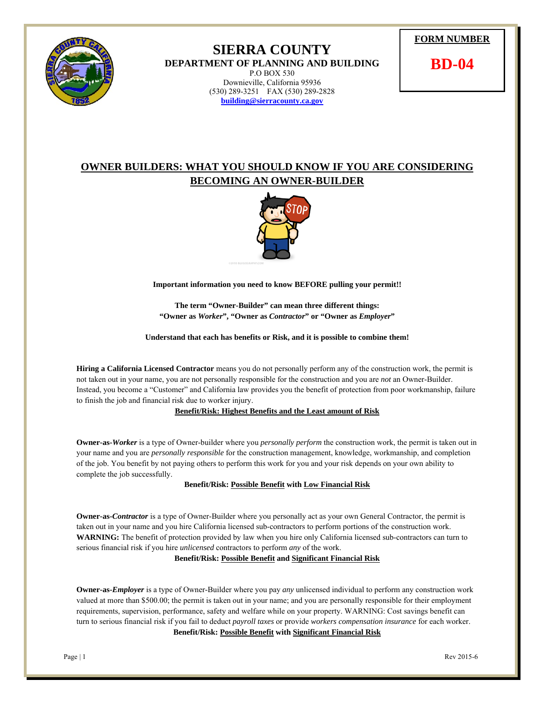

## **SIERRA COUNTY DEPARTMENT OF PLANNING AND BUILDING**  P.O BOX 530 Downieville, California 95936 (530) 289-3251 FAX (530) 289-2828 **building@sierracounty.ca.gov**



**BD-04** 

## **OWNER BUILDERS: WHAT YOU SHOULD KNOW IF YOU ARE CONSIDERING BECOMING AN OWNER-BUILDER**



**Important information you need to know BEFORE pulling your permit!!** 

**The term "Owner-Builder" can mean three different things: "Owner as** *Worker***", "Owner as** *Contractor***" or "Owner as** *Employer***"** 

**Understand that each has benefits or Risk, and it is possible to combine them!** 

**Hiring a California Licensed Contractor** means you do not personally perform any of the construction work, the permit is not taken out in your name, you are not personally responsible for the construction and you are *not* an Owner-Builder. Instead, you become a "Customer" and California law provides you the benefit of protection from poor workmanship, failure to finish the job and financial risk due to worker injury.

## **Benefit/Risk: Highest Benefits and the Least amount of Risk**

**Owner-as-***Worker* is a type of Owner-builder where you *personally perform* the construction work, the permit is taken out in your name and you are *personally responsible* for the construction management, knowledge, workmanship, and completion of the job. You benefit by not paying others to perform this work for you and your risk depends on your own ability to complete the job successfully.

**Benefit/Risk: Possible Benefit with Low Financial Risk**

**Owner-as-***Contractor* is a type of Owner-Builder where you personally act as your own General Contractor, the permit is taken out in your name and you hire California licensed sub-contractors to perform portions of the construction work. **WARNING:** The benefit of protection provided by law when you hire only California licensed sub-contractors can turn to serious financial risk if you hire *unlicensed* contractors to perform *any* of the work.

**Benefit/Risk: Possible Benefit and Significant Financial Risk**

**Owner-as-***Employer* is a type of Owner-Builder where you pay *any* unlicensed individual to perform any construction work valued at more than \$500.00; the permit is taken out in your name; and you are personally responsible for their employment requirements, supervision, performance, safety and welfare while on your property. WARNING: Cost savings benefit can turn to serious financial risk if you fail to deduct *payroll taxes* or provide *workers compensation insurance* for each worker. **Benefit/Risk: Possible Benefit with Significant Financial Risk**